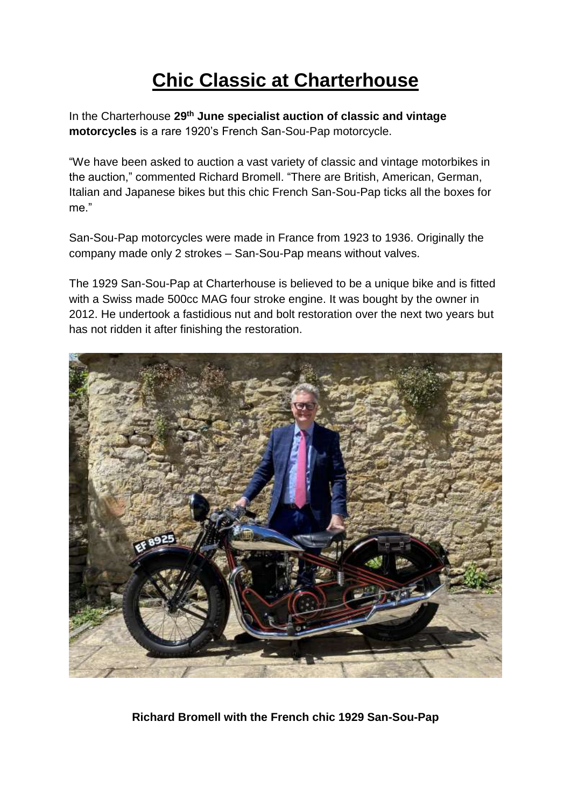## **Chic Classic at Charterhouse**

In the Charterhouse **29th June specialist auction of classic and vintage motorcycles** is a rare 1920's French San-Sou-Pap motorcycle.

"We have been asked to auction a vast variety of classic and vintage motorbikes in the auction," commented Richard Bromell. "There are British, American, German, Italian and Japanese bikes but this chic French San-Sou-Pap ticks all the boxes for me."

San-Sou-Pap motorcycles were made in France from 1923 to 1936. Originally the company made only 2 strokes – San-Sou-Pap means without valves.

The 1929 San-Sou-Pap at Charterhouse is believed to be a unique bike and is fitted with a Swiss made 500cc MAG four stroke engine. It was bought by the owner in 2012. He undertook a fastidious nut and bolt restoration over the next two years but has not ridden it after finishing the restoration.



**Richard Bromell with the French chic 1929 San-Sou-Pap**